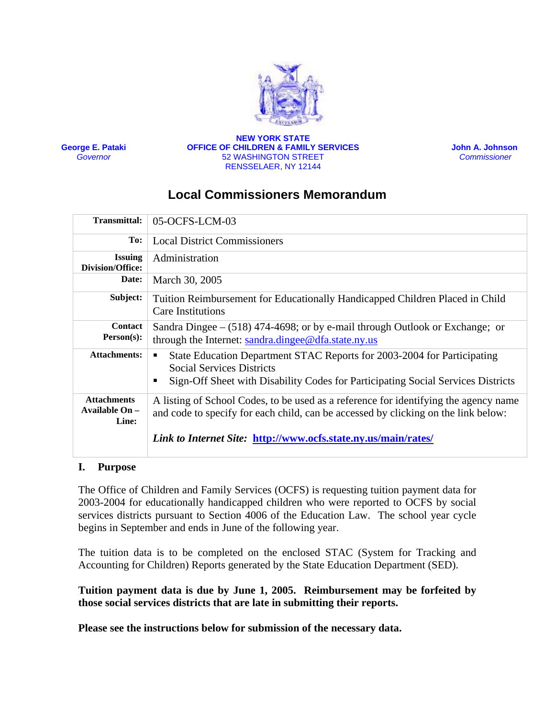

**George E. Pataki** *Governor* 

#### **NEW YORK STATE OFFICE OF CHILDREN & FAMILY SERVICES**  52 WASHINGTON STREET RENSSELAER, NY 12144

 **John A. Johnson**  *Commissioner* 

# **Local Commissioners Memorandum**

| <b>Transmittal:</b>                           | 05-OCFS-LCM-03                                                                                                                                                                                                         |
|-----------------------------------------------|------------------------------------------------------------------------------------------------------------------------------------------------------------------------------------------------------------------------|
| To:                                           | <b>Local District Commissioners</b>                                                                                                                                                                                    |
| <b>Issuing</b><br>Division/Office:            | Administration                                                                                                                                                                                                         |
| Date:                                         | March 30, 2005                                                                                                                                                                                                         |
| Subject:                                      | Tuition Reimbursement for Educationally Handicapped Children Placed in Child<br><b>Care Institutions</b>                                                                                                               |
| <b>Contact</b><br>$Person(s)$ :               | Sandra Dingee $-$ (518) 474-4698; or by e-mail through Outlook or Exchange; or<br>through the Internet: sandra.dingee@dfa.state.ny.us                                                                                  |
| <b>Attachments:</b>                           | State Education Department STAC Reports for 2003-2004 for Participating<br>٠<br><b>Social Services Districts</b><br>Sign-Off Sheet with Disability Codes for Participating Social Services Districts<br>$\blacksquare$ |
| <b>Attachments</b><br>Available On -<br>Line: | A listing of School Codes, to be used as a reference for identifying the agency name<br>and code to specify for each child, can be accessed by clicking on the link below:                                             |
|                                               | <i>Link to Internet Site: http://www.ocfs.state.ny.us/main/rates/</i>                                                                                                                                                  |

### **I. Purpose**

The Office of Children and Family Services (OCFS) is requesting tuition payment data for 2003-2004 for educationally handicapped children who were reported to OCFS by social services districts pursuant to Section 4006 of the Education Law. The school year cycle begins in September and ends in June of the following year.

The tuition data is to be completed on the enclosed STAC (System for Tracking and Accounting for Children) Reports generated by the State Education Department (SED).

**Tuition payment data is due by June 1, 2005. Reimbursement may be forfeited by those social services districts that are late in submitting their reports.**

**Please see the instructions below for submission of the necessary data.**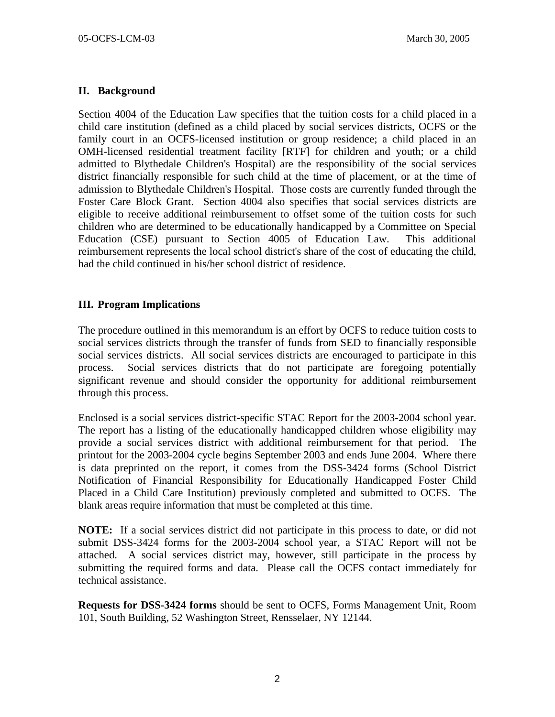# **II. Background**

Section 4004 of the Education Law specifies that the tuition costs for a child placed in a child care institution (defined as a child placed by social services districts, OCFS or the family court in an OCFS-licensed institution or group residence; a child placed in an OMH-licensed residential treatment facility [RTF] for children and youth; or a child admitted to Blythedale Children's Hospital) are the responsibility of the social services district financially responsible for such child at the time of placement, or at the time of admission to Blythedale Children's Hospital. Those costs are currently funded through the Foster Care Block Grant. Section 4004 also specifies that social services districts are eligible to receive additional reimbursement to offset some of the tuition costs for such children who are determined to be educationally handicapped by a Committee on Special Education (CSE) pursuant to Section 4005 of Education Law. This additional reimbursement represents the local school district's share of the cost of educating the child, had the child continued in his/her school district of residence.

## **III. Program Implications**

The procedure outlined in this memorandum is an effort by OCFS to reduce tuition costs to social services districts through the transfer of funds from SED to financially responsible social services districts. All social services districts are encouraged to participate in this process. Social services districts that do not participate are foregoing potentially significant revenue and should consider the opportunity for additional reimbursement through this process.

Enclosed is a social services district-specific STAC Report for the 2003-2004 school year. The report has a listing of the educationally handicapped children whose eligibility may provide a social services district with additional reimbursement for that period. The printout for the 2003-2004 cycle begins September 2003 and ends June 2004. Where there is data preprinted on the report, it comes from the DSS-3424 forms (School District Notification of Financial Responsibility for Educationally Handicapped Foster Child Placed in a Child Care Institution) previously completed and submitted to OCFS. The blank areas require information that must be completed at this time.

**NOTE:** If a social services district did not participate in this process to date, or did not submit DSS-3424 forms for the 2003-2004 school year, a STAC Report will not be attached. A social services district may, however, still participate in the process by submitting the required forms and data. Please call the OCFS contact immediately for technical assistance.

**Requests for DSS-3424 forms** should be sent to OCFS, Forms Management Unit, Room 101, South Building, 52 Washington Street, Rensselaer, NY 12144.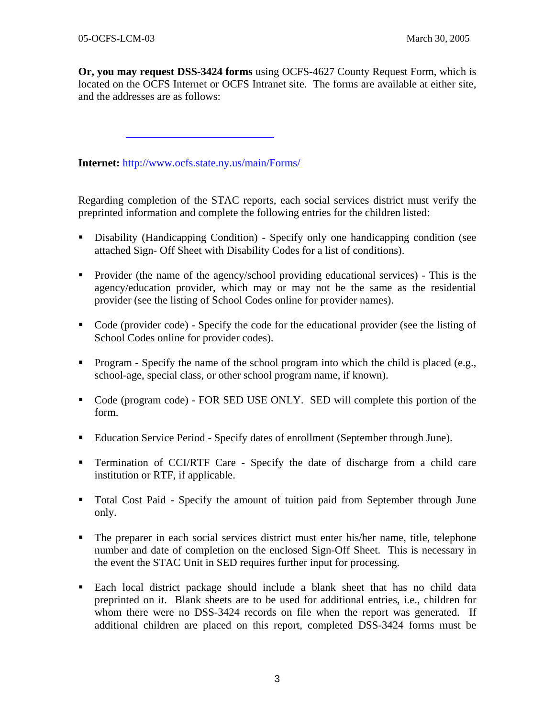**Or, you may request DSS-3424 forms** using OCFS-4627 County Request Form, which is located on the OCFS Internet or OCFS Intranet site. The forms are available at either site, and the addresses are as follows:

**Internet:** <http://www.ocfs.state.ny.us/main/Forms/>

Regarding completion of the STAC reports, each social services district must verify the preprinted information and complete the following entries for the children listed:

- Disability (Handicapping Condition) Specify only one handicapping condition (see attached Sign- Off Sheet with Disability Codes for a list of conditions).
- Provider (the name of the agency/school providing educational services) This is the agency/education provider, which may or may not be the same as the residential provider (see the listing of School Codes online for provider names).
- Code (provider code) Specify the code for the educational provider (see the listing of School Codes online for provider codes).
- **Program Specify the name of the school program into which the child is placed (e.g.,** school-age, special class, or other school program name, if known).
- Code (program code) FOR SED USE ONLY. SED will complete this portion of the form.
- Education Service Period Specify dates of enrollment (September through June).
- Termination of CCI/RTF Care Specify the date of discharge from a child care institution or RTF, if applicable.
- Total Cost Paid Specify the amount of tuition paid from September through June only.
- The preparer in each social services district must enter his/her name, title, telephone number and date of completion on the enclosed Sign-Off Sheet. This is necessary in the event the STAC Unit in SED requires further input for processing.
- Each local district package should include a blank sheet that has no child data preprinted on it. Blank sheets are to be used for additional entries, i.e., children for whom there were no DSS-3424 records on file when the report was generated. If additional children are placed on this report, completed DSS-3424 forms must be